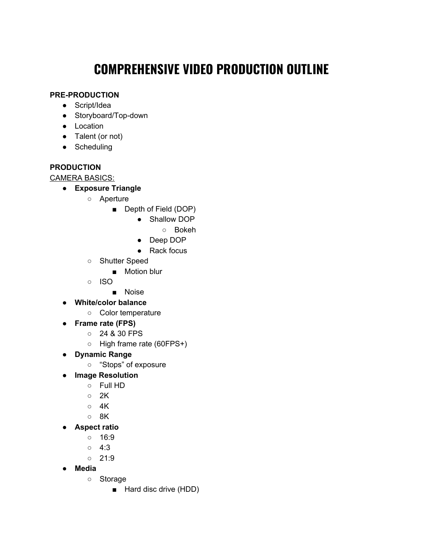# **COMPREHENSIVE VIDEO PRODUCTION OUTLINE**

## **PRE-PRODUCTION**

- Script/Idea
- Storyboard/Top-down
- Location
- Talent (or not)
- Scheduling

## **PRODUCTION**

CAMERA BASICS:

- **● Exposure Triangle**
	- Aperture
		- Depth of Field (DOP)
			- Shallow DOP
				- Bokeh
			- Deep DOP
			- Rack focus
	- Shutter Speed
		- Motion blur
	- ISO
		- Noise
- **● White/color balance**
	- Color temperature
- **● Frame rate (FPS)**
	- 24 & 30 FPS
	- High frame rate (60FPS+)
- **● Dynamic Range**
	- "Stops" of exposure
- **● Image Resolution**
	- Full HD
	- 2K
	- $\circ$  4K
	- 8K
- **● Aspect ratio**
	- 16:9
	- $0 \quad 4:3$
	- $\circ$  21:9
- **● Media**
	- Storage
		- Hard disc drive (HDD)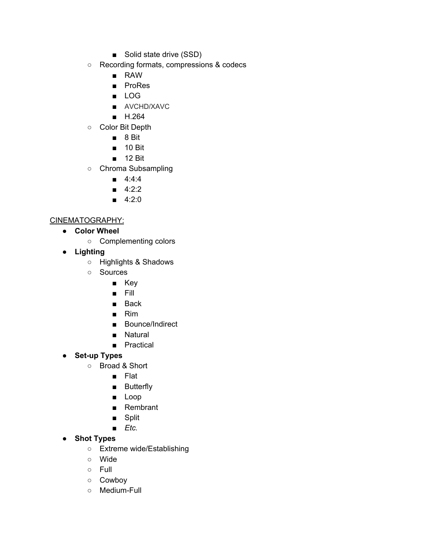- Solid state drive (SSD)
- Recording formats, compressions & codecs
	- RAW
	- ProRes
	- LOG
	- AVCHD/XAVC
	- H.264
- Color Bit Depth
	- 8 Bit
	- 10 Bit
	- 12 Bit
- Chroma Subsampling
	- 4:4:4
	- 4:2:2
	- $-4:2:0$

#### CINEMATOGRAPHY:

- **● Color Wheel**
	- Complementing colors
- **● Lighting**
	- Highlights & Shadows
	- Sources
		- Key
		- Fill
		- Back
		- Rim
		- Bounce/Indirect
		- Natural
		- Practical
- **● Set-up Types**
	- Broad & Short
		- Flat
		- Butterfly
		- Loop
		- Rembrant
		- Split
		- *■ Etc.*
- **● Shot Types**
	- Extreme wide/Establishing
	- Wide
	- Full
	- Cowboy
	- Medium-Full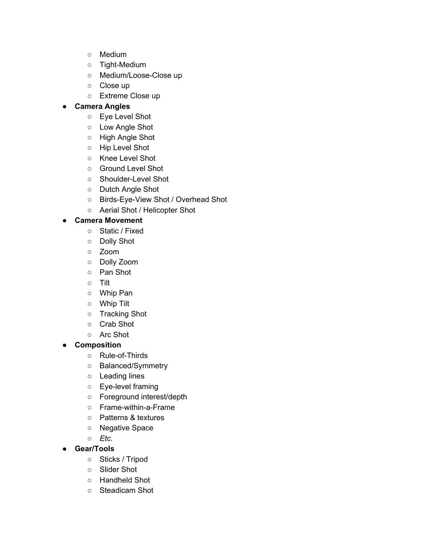- Medium
- Tight-Medium
- Medium/Loose-Close up
- Close up
- Extreme Close up

### **● Camera Angles**

- Eye [Level](https://www.studiobinder.com/blog/ultimate-guide-to-camera-shots/#eye-level-shot) Shot
- Low [Angle](https://www.studiobinder.com/blog/ultimate-guide-to-camera-shots/#low-angle-shot) Shot
- High [Angle](https://www.studiobinder.com/blog/ultimate-guide-to-camera-shots/#high-angle-shot) Shot
- Hip [Level](https://www.studiobinder.com/blog/ultimate-guide-to-camera-shots/#hip-level-shot) Shot
- Knee [Level](https://www.studiobinder.com/blog/ultimate-guide-to-camera-shots/#knee-level-shot) Shot
- [Ground](https://www.studiobinder.com/blog/ultimate-guide-to-camera-shots/#ground-level-shot) Level Shot
- [Shoulder-Level](https://www.studiobinder.com/blog/ultimate-guide-to-camera-shots/#shoulder-level-shot) Shot
- [Dutch](https://www.studiobinder.com/blog/ultimate-guide-to-camera-shots/#dutch-angle-shot) Angle Shot
- [Birds-Eye-View](https://www.studiobinder.com/blog/ultimate-guide-to-camera-shots/#birds-eye-view-shot) Shot / Overhead Shot
- Aerial Shot / [Helicopter](https://www.studiobinder.com/blog/ultimate-guide-to-camera-shots/#aerial-shot) Shot

#### **● Camera Movement**

- [Static](https://www.studiobinder.com/blog/ultimate-guide-to-camera-shots/#static-shot) / Fixed
- [Dolly](https://www.studiobinder.com/blog/ultimate-guide-to-camera-shots/#dollyshot) Shot
- [Zoom](https://www.studiobinder.com/blog/ultimate-guide-to-camera-shots/#zoom-shot)
- Dolly [Zoom](https://www.studiobinder.com/blog/ultimate-guide-to-camera-shots/#dollyzoomshot)
- Pan [Shot](https://www.studiobinder.com/blog/ultimate-guide-to-camera-shots/#pan-shot)
- [Tilt](https://www.studiobinder.com/blog/ultimate-guide-to-camera-shots/#tilt-shot)
- [Whip](https://www.studiobinder.com/blog/ultimate-guide-to-camera-shots/#swish-pan-shot) Pan
- [Whip](https://www.studiobinder.com/blog/ultimate-guide-to-camera-shots/#swish-tilt-shot) Tilt
- [Tracking](https://www.studiobinder.com/blog/ultimate-guide-to-camera-shots/#tracking-shot) Shot
- [Crab](https://www.studiobinder.com/blog/ultimate-guide-to-camera-shots/#crab-shot) Shot
- Arc [Shot](https://www.studiobinder.com/blog/ultimate-guide-to-camera-shots/#arc-shot)

#### **● Composition**

- Rule-of-Thirds
- Balanced/Symmetry
- Leading lines
- Eye-level framing
- Foreground interest/depth
- Frame-within-a-Frame
- Patterns & textures
- Negative Space
- *○ Etc.*
- **● Gear/Tools**
	- Sticks / [Tripod](https://www.studiobinder.com/blog/ultimate-guide-to-camera-shots/#sticks)
	- [Slider](https://www.studiobinder.com/blog/ultimate-guide-to-camera-shots/#slider-shot) Shot
	- [Handheld](https://www.studiobinder.com/blog/ultimate-guide-to-camera-shots/#handheld-shot) Shot
	- [Steadicam](https://www.studiobinder.com/blog/ultimate-guide-to-camera-shots/#steadicam-shot) Shot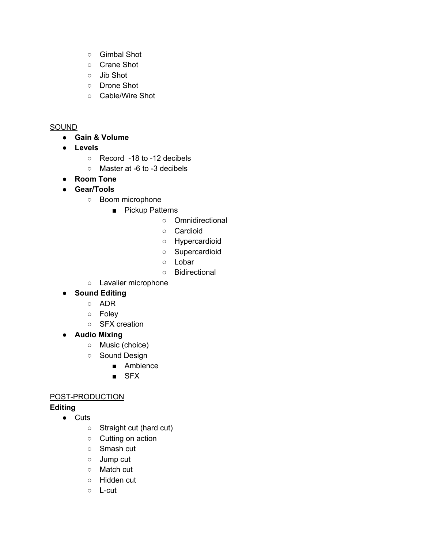- [Gimbal](https://www.studiobinder.com/blog/ultimate-guide-to-camera-shots/#gimbal-shot) Shot
- [Crane](https://www.studiobinder.com/blog/ultimate-guide-to-camera-shots/#crane-shot) Shot
- Jib [Shot](https://www.studiobinder.com/blog/ultimate-guide-to-camera-shots/#jib-shot)
- [Drone](https://www.studiobinder.com/blog/ultimate-guide-to-camera-shots/#drone-shot) Shot
- Cable/[Wire](https://www.studiobinder.com/blog/ultimate-guide-to-camera-shots/#wire-shot) Shot

#### SOUND

- **● Gain & Volume**
- **● Levels**
	- Record -18 to -12 decibels
	- Master at -6 to -3 decibels
- **● Room Tone**
- **● Gear/Tools**
	- Boom microphone
		- Pickup Patterns
			- Omnidirectional
			- Cardioid
			- Hypercardioid
			- Supercardioid
			- Lobar
			- Bidirectional
	- Lavalier microphone

## **● Sound Editing**

- ADR
- Foley
- SFX creation
- **● Audio Mixing**
	- Music (choice)
	- Sound Design
		- Ambience
		- SFX

## POST-PRODUCTION

## **Editing**

- Cuts
	- Straight cut (hard cut)
	- Cutting on action
	- Smash cut
	- Jump cut
	- Match cut
	- Hidden cut
	- L-cut